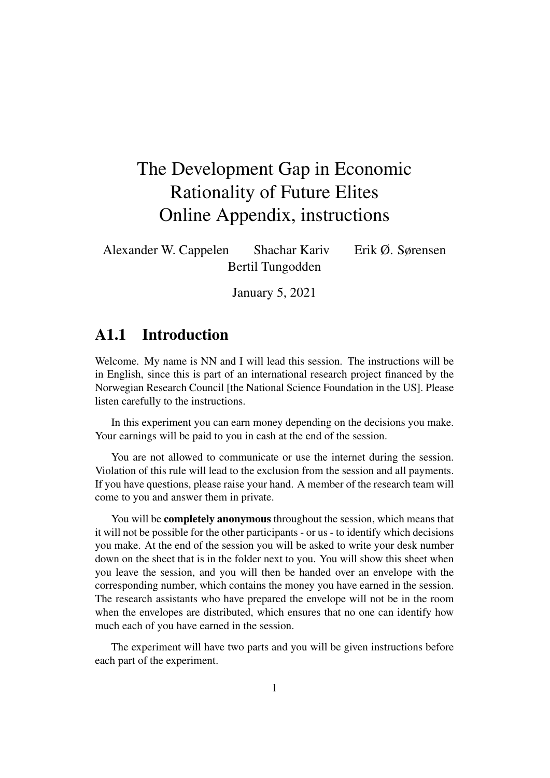# The Development Gap in Economic Rationality of Future Elites Online Appendix, instructions

Alexander W. Cappelen Shachar Kariv Erik Ø. Sørensen Bertil Tungodden

January 5, 2021

### A1.1 Introduction

Welcome. My name is NN and I will lead this session. The instructions will be in English, since this is part of an international research project financed by the Norwegian Research Council [the National Science Foundation in the US]. Please listen carefully to the instructions.

In this experiment you can earn money depending on the decisions you make. Your earnings will be paid to you in cash at the end of the session.

You are not allowed to communicate or use the internet during the session. Violation of this rule will lead to the exclusion from the session and all payments. If you have questions, please raise your hand. A member of the research team will come to you and answer them in private.

You will be **completely anonymous** throughout the session, which means that it will not be possible for the other participants - or us - to identify which decisions you make. At the end of the session you will be asked to write your desk number down on the sheet that is in the folder next to you. You will show this sheet when you leave the session, and you will then be handed over an envelope with the corresponding number, which contains the money you have earned in the session. The research assistants who have prepared the envelope will not be in the room when the envelopes are distributed, which ensures that no one can identify how much each of you have earned in the session.

The experiment will have two parts and you will be given instructions before each part of the experiment.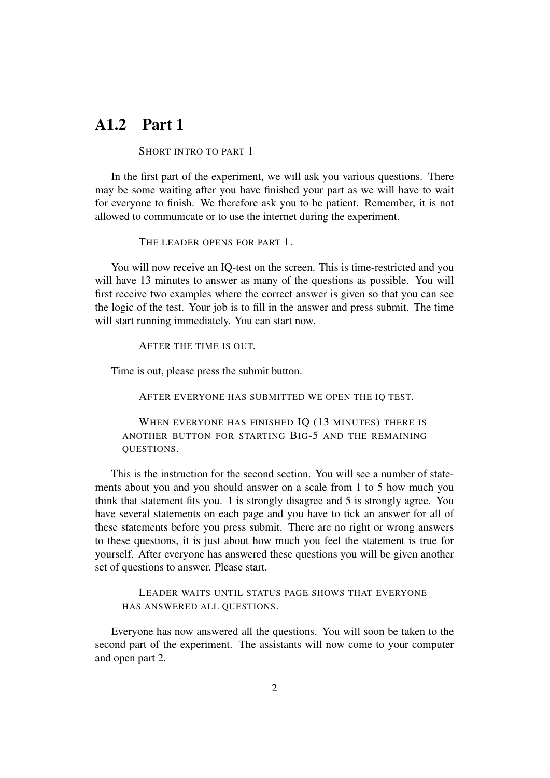### A1.2 Part 1

#### SHORT INTRO TO PART 1

In the first part of the experiment, we will ask you various questions. There may be some waiting after you have finished your part as we will have to wait for everyone to finish. We therefore ask you to be patient. Remember, it is not allowed to communicate or to use the internet during the experiment.

THE LEADER OPENS FOR PART 1.

You will now receive an IQ-test on the screen. This is time-restricted and you will have 13 minutes to answer as many of the questions as possible. You will first receive two examples where the correct answer is given so that you can see the logic of the test. Your job is to fill in the answer and press submit. The time will start running immediately. You can start now.

AFTER THE TIME IS OUT.

Time is out, please press the submit button.

AFTER EVERYONE HAS SUBMITTED WE OPEN THE IQ TEST.

WHEN EVERYONE HAS FINISHED IQ (13 MINUTES) THERE IS ANOTHER BUTTON FOR STARTING BIG-5 AND THE REMAINING QUESTIONS.

This is the instruction for the second section. You will see a number of statements about you and you should answer on a scale from 1 to 5 how much you think that statement fits you. 1 is strongly disagree and 5 is strongly agree. You have several statements on each page and you have to tick an answer for all of these statements before you press submit. There are no right or wrong answers to these questions, it is just about how much you feel the statement is true for yourself. After everyone has answered these questions you will be given another set of questions to answer. Please start.

LEADER WAITS UNTIL STATUS PAGE SHOWS THAT EVERYONE HAS ANSWERED ALL QUESTIONS.

Everyone has now answered all the questions. You will soon be taken to the second part of the experiment. The assistants will now come to your computer and open part 2.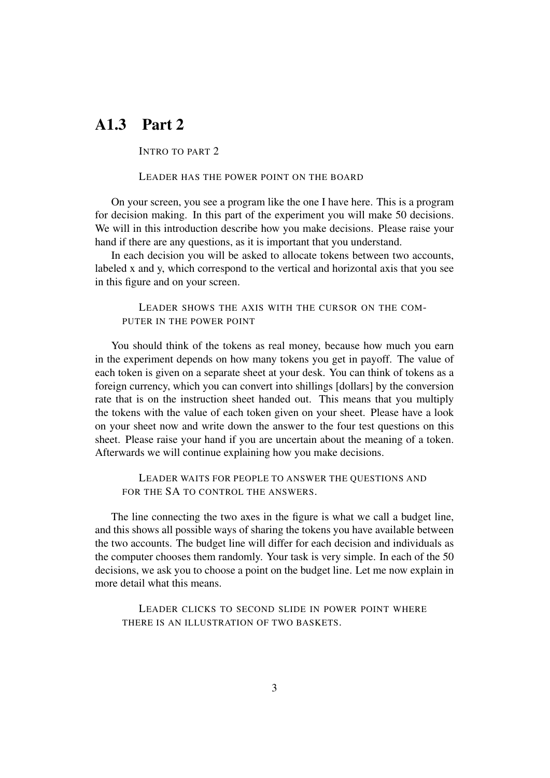## A1.3 Part 2

INTRO TO PART 2

#### LEADER HAS THE POWER POINT ON THE BOARD

On your screen, you see a program like the one I have here. This is a program for decision making. In this part of the experiment you will make 50 decisions. We will in this introduction describe how you make decisions. Please raise your hand if there are any questions, as it is important that you understand.

In each decision you will be asked to allocate tokens between two accounts, labeled x and y, which correspond to the vertical and horizontal axis that you see in this figure and on your screen.

### LEADER SHOWS THE AXIS WITH THE CURSOR ON THE COM-PUTER IN THE POWER POINT

You should think of the tokens as real money, because how much you earn in the experiment depends on how many tokens you get in payoff. The value of each token is given on a separate sheet at your desk. You can think of tokens as a foreign currency, which you can convert into shillings [dollars] by the conversion rate that is on the instruction sheet handed out. This means that you multiply the tokens with the value of each token given on your sheet. Please have a look on your sheet now and write down the answer to the four test questions on this sheet. Please raise your hand if you are uncertain about the meaning of a token. Afterwards we will continue explaining how you make decisions.

LEADER WAITS FOR PEOPLE TO ANSWER THE QUESTIONS AND FOR THE SA TO CONTROL THE ANSWERS.

The line connecting the two axes in the figure is what we call a budget line, and this shows all possible ways of sharing the tokens you have available between the two accounts. The budget line will differ for each decision and individuals as the computer chooses them randomly. Your task is very simple. In each of the 50 decisions, we ask you to choose a point on the budget line. Let me now explain in more detail what this means.

LEADER CLICKS TO SECOND SLIDE IN POWER POINT WHERE THERE IS AN ILLUSTRATION OF TWO BASKETS.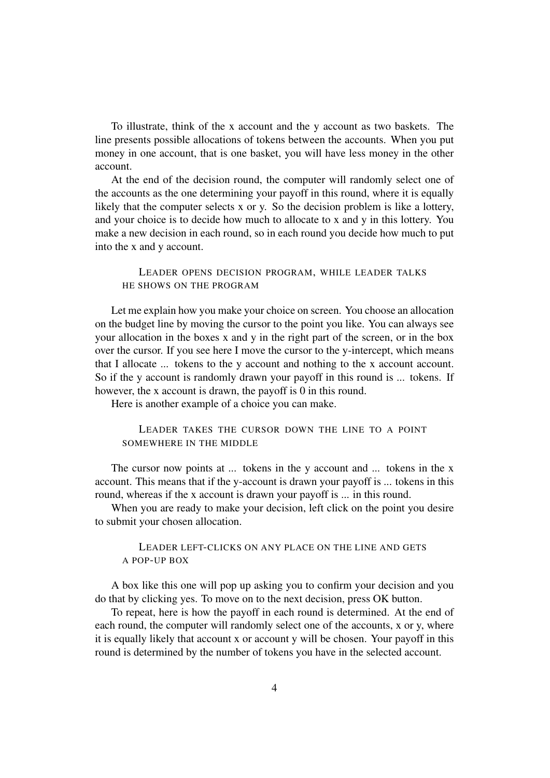To illustrate, think of the x account and the y account as two baskets. The line presents possible allocations of tokens between the accounts. When you put money in one account, that is one basket, you will have less money in the other account.

At the end of the decision round, the computer will randomly select one of the accounts as the one determining your payoff in this round, where it is equally likely that the computer selects x or y. So the decision problem is like a lottery, and your choice is to decide how much to allocate to x and y in this lottery. You make a new decision in each round, so in each round you decide how much to put into the x and y account.

LEADER OPENS DECISION PROGRAM, WHILE LEADER TALKS HE SHOWS ON THE PROGRAM

Let me explain how you make your choice on screen. You choose an allocation on the budget line by moving the cursor to the point you like. You can always see your allocation in the boxes x and y in the right part of the screen, or in the box over the cursor. If you see here I move the cursor to the y-intercept, which means that I allocate ... tokens to the y account and nothing to the x account account. So if the y account is randomly drawn your payoff in this round is ... tokens. If however, the x account is drawn, the payoff is 0 in this round.

Here is another example of a choice you can make.

LEADER TAKES THE CURSOR DOWN THE LINE TO A POINT SOMEWHERE IN THE MIDDLE

The cursor now points at ... tokens in the y account and ... tokens in the x account. This means that if the y-account is drawn your payoff is ... tokens in this round, whereas if the x account is drawn your payoff is ... in this round.

When you are ready to make your decision, left click on the point you desire to submit your chosen allocation.

### LEADER LEFT-CLICKS ON ANY PLACE ON THE LINE AND GETS A POP-UP BOX

A box like this one will pop up asking you to confirm your decision and you do that by clicking yes. To move on to the next decision, press OK button.

To repeat, here is how the payoff in each round is determined. At the end of each round, the computer will randomly select one of the accounts, x or y, where it is equally likely that account x or account y will be chosen. Your payoff in this round is determined by the number of tokens you have in the selected account.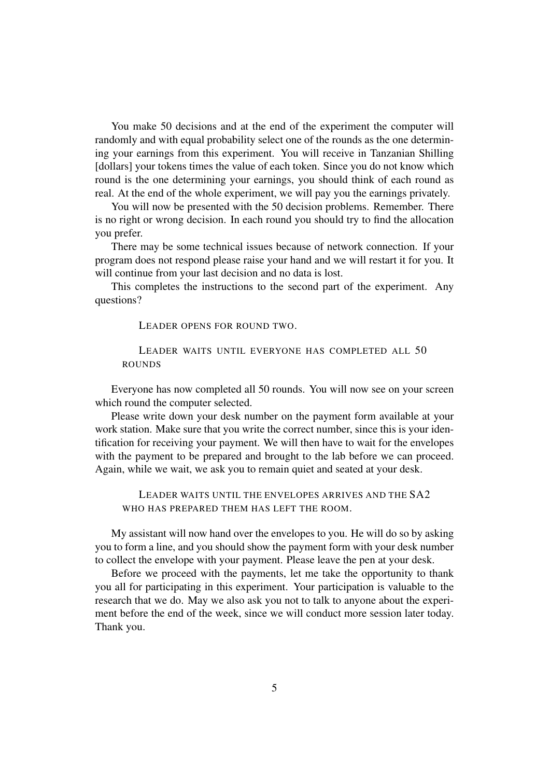You make 50 decisions and at the end of the experiment the computer will randomly and with equal probability select one of the rounds as the one determining your earnings from this experiment. You will receive in Tanzanian Shilling [dollars] your tokens times the value of each token. Since you do not know which round is the one determining your earnings, you should think of each round as real. At the end of the whole experiment, we will pay you the earnings privately.

You will now be presented with the 50 decision problems. Remember. There is no right or wrong decision. In each round you should try to find the allocation you prefer.

There may be some technical issues because of network connection. If your program does not respond please raise your hand and we will restart it for you. It will continue from your last decision and no data is lost.

This completes the instructions to the second part of the experiment. Any questions?

LEADER OPENS FOR ROUND TWO.

LEADER WAITS UNTIL EVERYONE HAS COMPLETED ALL 50 ROUNDS

Everyone has now completed all 50 rounds. You will now see on your screen which round the computer selected.

Please write down your desk number on the payment form available at your work station. Make sure that you write the correct number, since this is your identification for receiving your payment. We will then have to wait for the envelopes with the payment to be prepared and brought to the lab before we can proceed. Again, while we wait, we ask you to remain quiet and seated at your desk.

LEADER WAITS UNTIL THE ENVELOPES ARRIVES AND THE SA2 WHO HAS PREPARED THEM HAS LEFT THE ROOM.

My assistant will now hand over the envelopes to you. He will do so by asking you to form a line, and you should show the payment form with your desk number to collect the envelope with your payment. Please leave the pen at your desk.

Before we proceed with the payments, let me take the opportunity to thank you all for participating in this experiment. Your participation is valuable to the research that we do. May we also ask you not to talk to anyone about the experiment before the end of the week, since we will conduct more session later today. Thank you.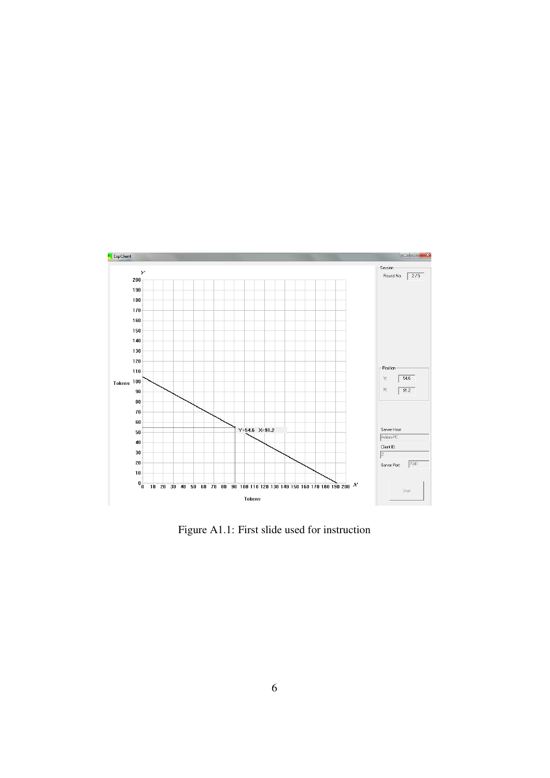

Figure A1.1: First slide used for instruction